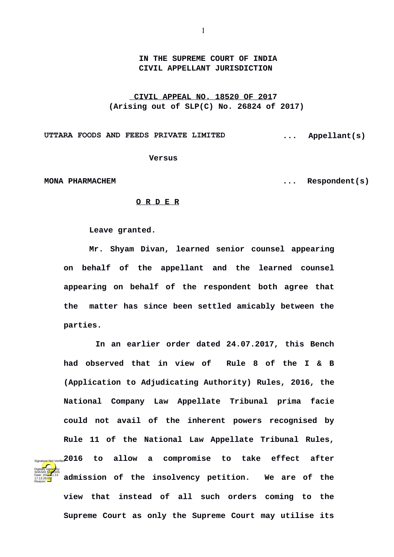**IN THE SUPREME COURT OF INDIA CIVIL APPELLANT JURISDICTION**

**CIVIL APPEAL NO. 18520 OF 2017 (Arising out of SLP(C) No. 26824 of 2017)** 

**UTTARA FOODS AND FEEDS PRIVATE LIMITED ... Appellant(s)**

 **Versus**

Digitally signed by SHASHI <mark>SAR</mark>EEN Date: 2017-11.14 17:13:28 IST Reason:

**MONA PHARMACHEM ... Respondent(s)**

## **O R D E R**

**Leave granted.**

**Mr. Shyam Divan, learned senior counsel appearing on behalf of the appellant and the learned counsel appearing on behalf of the respondent both agree that the matter has since been settled amicably between the parties.** 

 **In an earlier order dated 24.07.2017, this Bench had observed that in view of Rule 8 of the I & B (Application to Adjudicating Authority) Rules, 2016, the National Company Law Appellate Tribunal prima facie could not avail of the inherent powers recognised by Rule 11 of the National Law Appellate Tribunal Rules, 2016 to allow a compromise to take effect after admission of the insolvency petition. We are of the view that instead of all such orders coming to the** Signature Not Verified

**Supreme Court as only the Supreme Court may utilise its**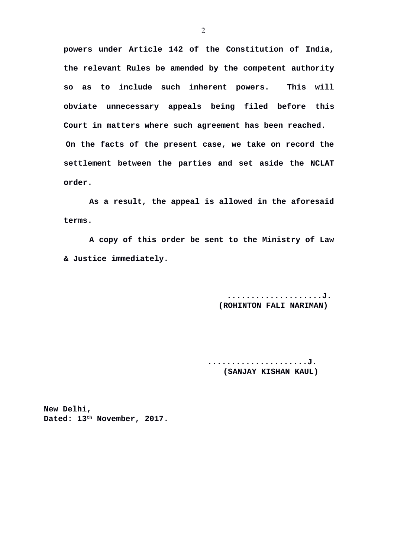**powers under Article 142 of the Constitution of India, the relevant Rules be amended by the competent authority so as to include such inherent powers. This will obviate unnecessary appeals being filed before this Court in matters where such agreement has been reached. On the facts of the present case, we take on record the settlement between the parties and set aside the NCLAT order.** 

**As a result, the appeal is allowed in the aforesaid terms.**

**A copy of this order be sent to the Ministry of Law & Justice immediately.**

> **....................J. (ROHINTON FALI NARIMAN)**

 **.....................J. (SANJAY KISHAN KAUL)** 

**New Delhi, Dated: 13th November, 2017.**